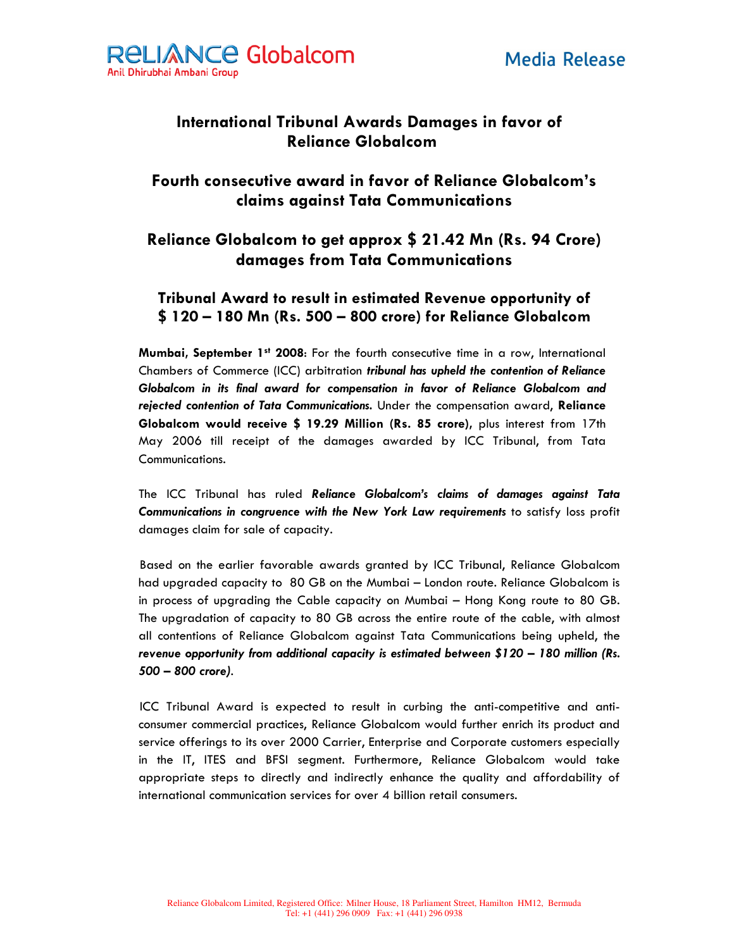

# **International Tribunal Awards Damages in favor of Reliance Globalcom**

### Fourth consecutive award in favor of Reliance Globalcom's claims against Tata Communications

## Reliance Globalcom to get approx \$ 21.42 Mn (Rs. 94 Crore) damages from Tata Communications

#### Tribunal Award to result in estimated Revenue opportunity of \$120 - 180 Mn (Rs. 500 - 800 crore) for Reliance Globalcom

Mumbai, September 1st 2008: For the fourth consecutive time in a row, International Chambers of Commerce (ICC) arbitration tribunal has upheld the contention of Reliance Globalcom in its final award for compensation in favor of Reliance Globalcom and rejected contention of Tata Communications. Under the compensation award, Reliance Globalcom would receive \$ 19.29 Million (Rs. 85 crore), plus interest from 17th May 2006 till receipt of the damages awarded by ICC Tribunal, from Tata Communications.

The ICC Tribunal has ruled Reliance Globalcom's claims of damages against Tata Communications in congruence with the New York Law requirements to satisfy loss profit damages claim for sale of capacity.

Based on the earlier favorable awards granted by ICC Tribunal, Reliance Globalcom had upgraded capacity to 80 GB on the Mumbai - London route. Reliance Globalcom is in process of upgrading the Cable capacity on Mumbai - Hong Kong route to 80 GB. The upgradation of capacity to 80 GB across the entire route of the cable, with almost all contentions of Reliance Globalcom against Tata Communications being upheld, the revenue opportunity from additional capacity is estimated between \$120 - 180 million (Rs. 500 - 800 crore).

ICC Tribunal Award is expected to result in curbing the anti-competitive and anticonsumer commercial practices, Reliance Globalcom would further enrich its product and service offerings to its over 2000 Carrier, Enterprise and Corporate customers especially in the IT, ITES and BFSI segment. Furthermore, Reliance Globalcom would take appropriate steps to directly and indirectly enhance the quality and affordability of international communication services for over 4 billion retail consumers.